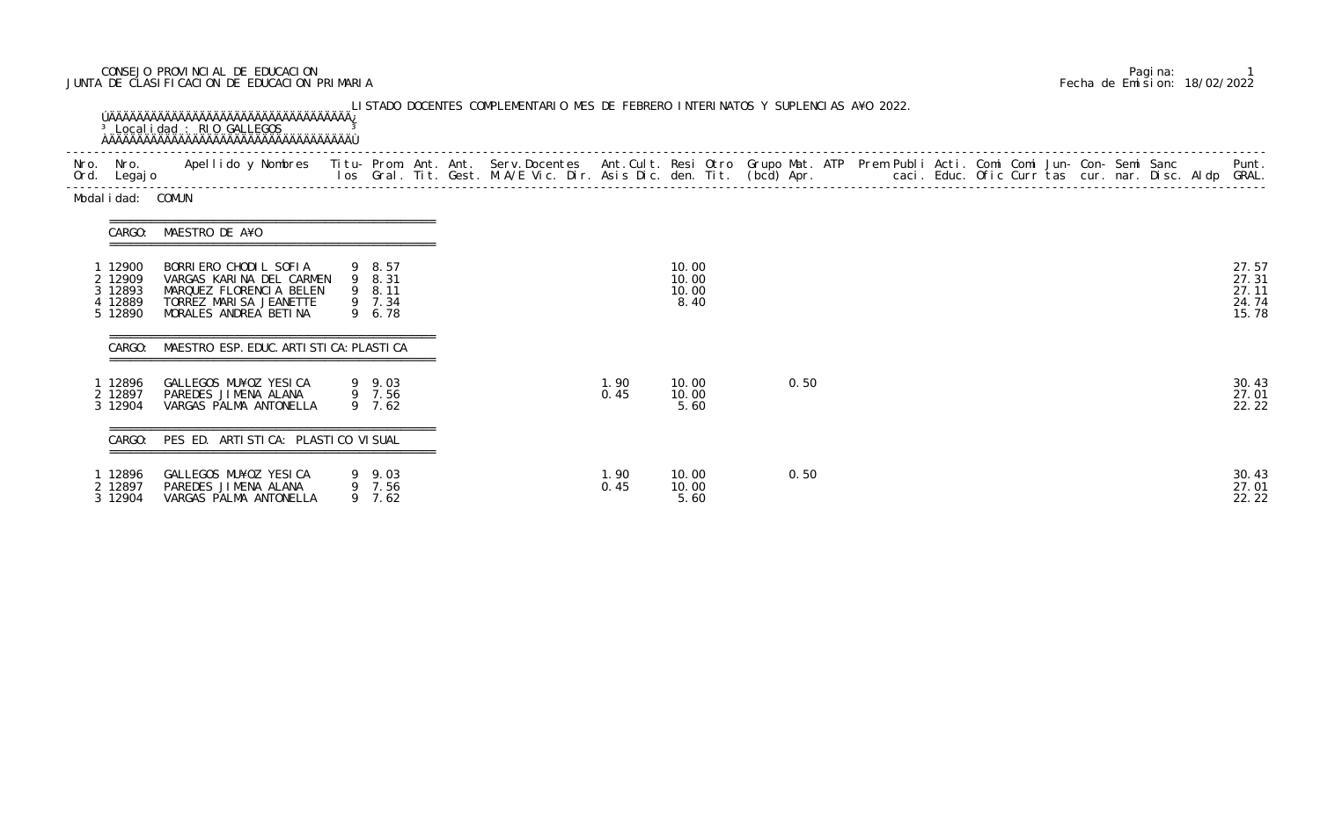## CONSEJO PROVINCIAL DE EDUCACION Pagina: 1 JUNTA DE CLASIFICACION DE EDUCACION PRIMARIA Fecha de Emision: 18/02/2022

| Modal i dad: COMUN                            |                                                                                                                                 |                                                |  |              |                                 |  |      |  |  |  |  |  |                                           |
|-----------------------------------------------|---------------------------------------------------------------------------------------------------------------------------------|------------------------------------------------|--|--------------|---------------------------------|--|------|--|--|--|--|--|-------------------------------------------|
|                                               | CARGO: MAESTRO DE A¥O                                                                                                           |                                                |  |              |                                 |  |      |  |  |  |  |  |                                           |
| 12900<br>2 12909<br>12893<br>12889<br>5 12890 | BORRIERO CHODIL SOFIA<br>VARGAS KARINA DEL CARMEN<br>MARQUEZ FLORENCIA BELEN<br>TORREZ MARISA JEANETTE<br>MORALES ANDREA BETINA | 9 8.57<br>9 8.31<br>9 8.11<br>9 7.34<br>9 6.78 |  |              | 10.00<br>10.00<br>10.00<br>8.40 |  |      |  |  |  |  |  | 27.57<br>27.31<br>27.11<br>24.74<br>15.78 |
| CARGO:                                        | MAESTRO ESP. EDUC. ARTI STI CA: PLASTI CA                                                                                       |                                                |  |              |                                 |  |      |  |  |  |  |  |                                           |
| 12896<br>2 12897<br>3 12904                   | GALLEGOS MU¥OZ YESICA<br>PAREDES JIMENA ALANA<br>VARGAS PALMA ANTONELLA                                                         | 9 9.03<br>9 7.56<br>9 7.62                     |  | 1.90<br>0.45 | 10.00<br>10.00<br>5.60          |  | 0.50 |  |  |  |  |  | 30.43<br>27.01<br>22.22                   |
| CARGO:                                        | PES ED. ARTI STI CA: PLASTI CO VI SUAL                                                                                          |                                                |  |              |                                 |  |      |  |  |  |  |  |                                           |
| 12896<br>2 12897<br>3 12904                   | GALLEGOS MU¥OZ YESICA<br>PAREDES JIMENA ALANA<br>VARGAS PALMA ANTONELLA                                                         | 9 9.03<br>9 7.56<br>9, 7.62                    |  | 1.90<br>0.45 | 10.00<br>10.00<br>5.60          |  | 0.50 |  |  |  |  |  | 30.43<br>27.01<br>22.22                   |